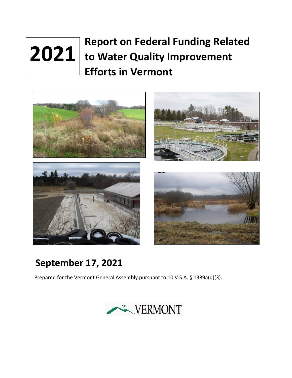# **Report on Federal Funding Related 2021** to Water Quality Improvement **Efforts in Vermont**



## **September 17, 2021**

Prepared for the Vermont General Assembly pursuant to 10 V.S.A. § 1389a(d)(3).

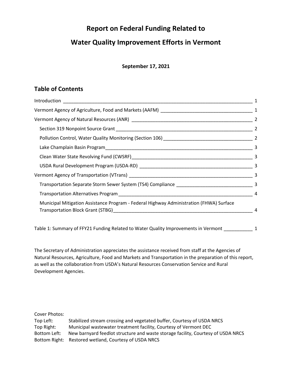## **Report on Federal Funding Related to**

## **Water Quality Improvement Efforts in Vermont**

#### **September 17, 2021**

## **Table of Contents**

|                                                                                         | $\overline{4}$ |
|-----------------------------------------------------------------------------------------|----------------|
| Municipal Mitigation Assistance Program - Federal Highway Administration (FHWA) Surface | 4              |

Table 1: Summary of FFY21 [Funding Related to Water Quality Improvements in Vermont](#page-6-0) 1

The Secretary of Administration appreciates the assistance received from staff at the Agencies of Natural Resources, Agriculture, Food and Markets and Transportation in the preparation of this report, as well as the collaboration from USDA's Natural Resources Conservation Service and Rural Development Agencies.

Cover Photos: Top Left: Stabilized stream crossing and vegetated buffer, Courtesy of USDA NRCS Top Right: Municipal wastewater treatment facility, Courtesy of Vermont DEC Bottom Left: New barnyard feedlot structure and waste storage facility, Courtesy of USDA NRCS Bottom Right: Restored wetland, Courtesy of USDA NRCS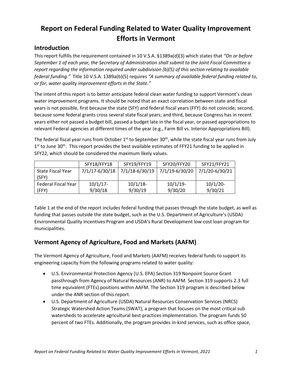## **Report on Federal Funding Related to Water Quality Improvement Efforts in Vermont**

## <span id="page-2-0"></span>**Introduction**

This report fulfills the requirement contained in 10 V.S.A. §1389a(d)(3) which states that *"On or before September 1 of each year, the Secretary of Administration shall submit to the Joint Fiscal Committee a report regarding the information required under subdivision (b)(5) of this section relating to available federal funding."* Title 10 V.S.A. 1389a(b)(5) requires *"A summary of available federal funding related to, or for, water quality improvement efforts in the State."*

The intent of this report is to better anticipate federal clean water funding to support Vermont's clean water improvement programs. It should be noted that an exact correlation between state and fiscal years is not possible, first because the state (SFY) and federal fiscal years (FFY) do not coincide; second, because some federal grants cross several state fiscal years; and third, because Congress has in recent years either not passed a budget bill, passed a budget late in the fiscal year, or passed appropriations to relevant Federal agencies at different times of the year (e.g., Farm Bill vs. Interior Appropriations Bill).

The federal fiscal year runs from October 1<sup>st</sup> to September 30<sup>th</sup>, while the state fiscal year runs from July  $1<sup>st</sup>$  to June 30<sup>th</sup>. This report provides the best available estimates of FFY21 funding to be applied in SFY22, which should be considered the maximum likely values.

|                     | SFY18/FFY18    | SFY19/FFY19    | SFY20/FFY20    | SFY21/FFY21    |
|---------------------|----------------|----------------|----------------|----------------|
| State Fiscal Year   | 7/1/17-6/30/18 | 7/1/18-6/30/19 | 7/1/19-6/30/20 | 7/1/20-6/30/21 |
| (SFY)               |                |                |                |                |
| Federal Fiscal Year | $10/1/17$ -    | $10/1/18$ -    | $10/1/19$ -    | $10/1/20$ -    |
| (FFY)               | 9/30/18        | 9/30/19        | 9/30/20        | 9/30/21        |

Table 1 at the end of the report includes federal funding that passes through the state budget, as well as funding that passes outside the state budget, such as the U.S. Department of Agriculture's (USDA) Environmental Quality Incentives Program and USDA's Rural Development low-cost loan program for municipalities.

## <span id="page-2-1"></span>**Vermont Agency of Agriculture, Food and Markets (AAFM)**

The Vermont Agency of Agriculture, Food and Markets (AAFM) receives federal funds to support its engineering capacity from the following programs related to water quality:

- U.S. Environmental Protection Agency (U.S. EPA) Section 319 Nonpoint Source Grant passthrough from Agency of Natural Resources (ANR) to AAFM. Section 319 supports 2.3 full time equivalent (FTEs) positions within AAFM. The Section 319 program is described below under the ANR section of this report.
- U.S. Department of Agriculture (USDA) Natural Resources Conservation Services (NRCS) Strategic Watershed Action Teams (SWAT), a program that focuses on the most critical sub watersheds to accelerate agricultural best practices implementation. The program funds 50 percent of two FTEs. Additionally, the program provides in-kind services, such as office space,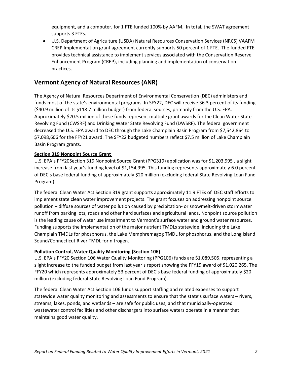equipment, and a computer, for 1 FTE funded 100% by AAFM. In total, the SWAT agreement supports 3 FTEs.

• U.S. Department of Agriculture (USDA) Natural Resources Conservation Services (NRCS) VAAFM CREP Implementation grant agreement currently supports 50 percent of 1 FTE. The funded FTE provides technical assistance to implement services associated with the Conservation Reserve Enhancement Program (CREP), including planning and implementation of conservation practices.

## <span id="page-3-0"></span>**Vermont Agency of Natural Resources (ANR)**

The Agency of Natural Resources Department of Environmental Conservation (DEC) administers and funds most of the state's environmental programs. In SFY22, DEC will receive 36.3 percent of its funding (\$40.9 million of its \$118.7 million budget) from federal sources, primarily from the U.S. EPA. Approximately \$20.5 million of these funds represent multiple grant awards for the Clean Water State Revolving Fund (CWSRF) and Drinking Water State Revolving Fund (DWSRF). The federal government decreased the U.S. EPA award to DEC through the Lake Champlain Basin Program from \$7,542,864 to \$7,098,606 for the FFY21 award. The SFY22 budgeted numbers reflect \$7.5 million of Lake Champlain Basin Program grants.

#### <span id="page-3-1"></span>**Section 319 Nonpoint Source Grant**

U.S. EPA's FFY20Section 319 Nonpoint Source Grant (PPG319) application was for \$1,203,995 , a slight increase from last year's funding level of \$1,154,995. This funding represents approximately 6.0 percent of DEC's base federal funding of approximately \$20 million (excluding federal State Revolving Loan Fund Program).

The federal Clean Water Act Section 319 grant supports approximately 11.9 FTEs of DEC staff efforts to implement state clean water improvement projects. The grant focuses on addressing nonpoint source pollution – diffuse sources of water pollution caused by precipitation- or snowmelt-driven stormwater runoff from parking lots, roads and other hard surfaces and agricultural lands. Nonpoint source pollution is the leading cause of water use impairment to Vermont's surface water and ground water resources. Funding supports the implementation of the major nutrient TMDLs statewide, including the Lake Champlain TMDLs for phosphorus, the Lake Memphremagog TMDL for phosphorus, and the Long Island Sound/Connecticut River TMDL for nitrogen.

#### <span id="page-3-2"></span>**Pollution Control, Water Quality Monitoring (Section 106)**

U.S. EPA's FFY20 Section 106 Water Quality Monitoring (PPG106) funds are \$1,089,505, representing a slight increase to the funded budget from last year's report showing the FFY19 award of \$1,020,265. The FFY20 which represents approximately 53 percent of DEC's base federal funding of approximately \$20 million (excluding federal State Revolving Loan Fund Program).

The federal Clean Water Act Section 106 funds support staffing and related expenses to support statewide water quality monitoring and assessments to ensure that the state's surface waters – rivers, streams, lakes, ponds, and wetlands – are safe for public uses, and that municipally-operated wastewater control facilities and other dischargers into surface waters operate in a manner that maintains good water quality.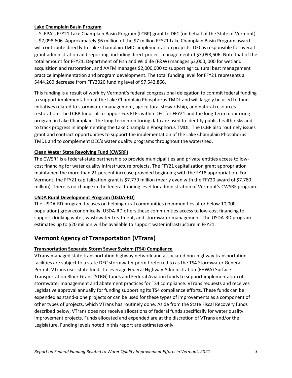#### <span id="page-4-0"></span>**Lake Champlain Basin Program**

U.S. EPA's FFY21 Lake Champlain Basin Program (LCBP) grant to DEC (on behalf of the State of Vermont) is \$7,098,606. Approximately \$6 million of the \$7 million FFY21 Lake Champlain Basin Program award will contribute directly to Lake Champlain TMDL implementation projects. DEC is responsible for overall grant administration and reporting, including direct project management of \$3,098,606. Note that of the total amount for FFY21, Department of Fish and Wildlife (F&W) manages \$2,000, 000 for wetland acquisition and restoration, and AAFM manages \$2,000,000 to support agricultural best management practice implementation and program development. The total funding level for FFY21 represents a \$444,260 decrease from FFY2020 funding level of \$7,542,866.

This funding is a result of work by Vermont's federal congressional delegation to commit federal funding to support implementation of the Lake Champlain Phosphorus TMDL and will largely be used to fund initiatives related to stormwater management, agricultural stewardship, and natural resources restoration. The LCBP funds also support 6.3 FTEs within DEC for FFY21 and the long-term monitoring program in Lake Champlain. The long-term monitoring data are used to identify public health risks and to track progress in implementing the Lake Champlain Phosphorus TMDL. The LCBP also routinely issues grant and contract opportunities to support the implementation of the Lake Champlain Phosphorus TMDL and to complement DEC's water quality programs throughout the watershed.

#### <span id="page-4-1"></span>**Clean Water State Revolving Fund (CWSRF)**

The CWSRF is a federal-state partnership to provide municipalities and private entities access to lowcost financing for water quality infrastructure projects. The FFY21 capitalization grant appropriation maintained the more than 21 percent increase provided beginning with the FY18 appropriation. For Vermont, the FFY21 capitalization grant is \$7.779 million (nearly even with the FFY20 award of \$7.780 million). There is no change in the federal funding level for administration of Vermont's CWSRF program.

#### <span id="page-4-2"></span>**USDA Rural Development Program (USDA-RD)**

The USDA-RD program focuses on helping rural communities (communities at or below 10,000 population) grow economically. USDA-RD offers these communities access to low-cost financing to support drinking water, wastewater treatment, and stormwater management. The USDA-RD program estimates up to \$20 million will be available to support water infrastructure in FFY21.

### <span id="page-4-3"></span>**Vermont Agency of Transportation (VTrans)**

#### <span id="page-4-4"></span>**Transportation Separate Storm Sewer System (TS4) Compliance**

VTrans-managed state transportation highway network and associated non-highway transportation facilities are subject to a state DEC stormwater permit referred to as the TS4 Stormwater General Permit. VTrans uses state funds to leverage Federal Highway Administration (FHWA) Surface Transportation Block Grant (STBG) funds and Federal Aviation funds to support implementation of stormwater management and abatement practices for TS4 compliance. VTrans requests and receives Legislative approval annually for funding supporting its TS4 compliance efforts. These funds can be expended as stand-alone projects or can be used for these types of improvements as a component of other types of projects, which VTrans has routinely done. Aside from the State Fiscal Recovery funds described below, VTrans does not receive allocations of federal funds specifically for water quality improvement projects. Funds allocated and expended are at the discretion of VTrans and/or the Legislature. Funding levels noted in this report are estimates only.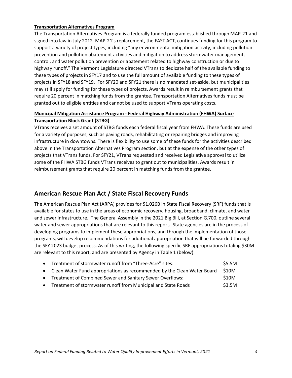#### <span id="page-5-0"></span>**Transportation Alternatives Program**

The Transportation Alternatives Program is a federally funded program established through MAP-21 and signed into law in July 2012. MAP-21's replacement, the FAST ACT, continues funding for this program to support a variety of project types, including "any environmental mitigation activity, including pollution prevention and pollution abatement activities and mitigation to address stormwater management, control, and water pollution prevention or abatement related to highway construction or due to highway runoff." The Vermont Legislature directed VTrans to dedicate half of the available funding to these types of projects in SFY17 and to use the full amount of available funding to these types of projects in SFY18 and SFY19. For SFY20 and SFY21 there is no mandated set-aside, but municipalities may still apply for funding for these types of projects. Awards result in reimbursement grants that require 20 percent in matching funds from the grantee. Transportation Alternatives funds must be granted out to eligible entities and cannot be used to support VTrans operating costs.

#### <span id="page-5-1"></span>**Municipal Mitigation Assistance Program - Federal Highway Administration (FHWA) Surface Transportation Block Grant (STBG)**

VTrans receives a set amount of STBG funds each federal fiscal year from FHWA. These funds are used for a variety of purposes, such as paving roads, rehabilitating or repairing bridges and improving infrastructure in downtowns. There is flexibility to use some of these funds for the activities described above in the Transportation Alternatives Program section, but at the expense of the other types of projects that VTrans funds. For SFY21, VTrans requested and received Legislative approval to utilize some of the FHWA STBG funds VTrans receives to grant out to municipalities. Awards result in reimbursement grants that require 20 percent in matching funds from the grantee.

### **American Rescue Plan Act / State Fiscal Recovery Funds**

The American Rescue Plan Act (ARPA) provides for \$1.026B in State Fiscal Recovery (SRF) funds that is available for states to use in the areas of economic recovery, housing, broadband, climate, and water and sewer infrastructure. The General Assembly in the 2021 Big Bill, at Section G.700, outline several water and sewer appropriations that are relevant to this report. State agencies are in the process of developing programs to implement these appropriations, and through the implementation of those programs, will develop recommendations for additional appropriation that will be forwarded through the SFY 2023 budget process. As of this writing, the following specific SRF appropriations totaling \$30M are relevant to this report, and are presented by Agency in Table 1 (below):

| • Treatment of stormwater runoff from "Three-Acre" sites:                 | \$5.5M |
|---------------------------------------------------------------------------|--------|
| • Clean Water Fund appropriations as recommended by the Clean Water Board | \$10M  |
| • Treatment of Combined Sewer and Sanitary Sewer Overflows:               | \$10M  |
| • Treatment of stormwater runoff from Municipal and State Roads           | \$3.5M |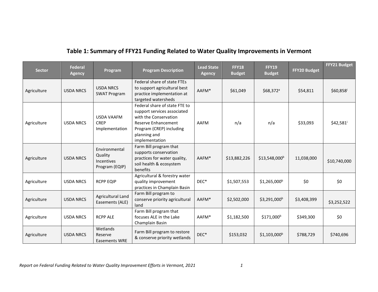## **Table 1: Summary of FFY21 Funding Related to Water Quality Improvements in Vermont**

<span id="page-6-0"></span>

| <b>Sector</b> | <b>Federal</b><br><b>Agency</b> | Program                                                         | <b>Program Description</b>                                                                                                                                                        | <b>Lead State</b><br><b>Agency</b> | <b>FFY18</b><br><b>Budget</b> | <b>FFY19</b><br><b>Budget</b> | FFY20 Budget | FFY21 Budget           |
|---------------|---------------------------------|-----------------------------------------------------------------|-----------------------------------------------------------------------------------------------------------------------------------------------------------------------------------|------------------------------------|-------------------------------|-------------------------------|--------------|------------------------|
| Agriculture   | <b>USDA NRCS</b>                | <b>USDA NRCS</b><br><b>SWAT Program</b>                         | Federal share of state FTEs<br>to support agricultural best<br>practice implementation at<br>targeted watersheds                                                                  | AAFM*                              | \$61,049                      | $$68,372$ <sup>a</sup>        | \$54,811     | \$60,858               |
| Agriculture   | <b>USDA NRCS</b>                | <b>USDA VAAFM</b><br><b>CREP</b><br>Implementation              | Federal share of state FTE to<br>support services associated<br>with the Conservation<br><b>Reserve Enhancement</b><br>Program (CREP) including<br>planning and<br>implementation | AAFM                               | n/a                           | n/a                           | \$33,093     | $$42,581$ <sup>i</sup> |
| Agriculture   | <b>USDA NRCS</b>                | Environmental<br>Quality<br><b>Incentives</b><br>Program (EQIP) | Farm Bill program that<br>supports conservation<br>practices for water quality,<br>soil health & ecosystem<br>benefits                                                            | AAFM*                              | \$13,882,226                  | \$13,548,000 <sup>b</sup>     | 11,038,000   | \$10,740,000           |
| Agriculture   | <b>USDA NRCS</b>                | <b>RCPP EQIP</b>                                                | Agricultural & forestry water<br>quality improvement<br>practices in Champlain Basin                                                                                              | DEC*                               | \$1,507,553                   | $$1,265,000$ <sup>b</sup>     | \$0          | \$0                    |
| Agriculture   | <b>USDA NRCS</b>                | Agricultural Land<br>Easements (ALE)                            | Farm Bill program to<br>conserve priority agricultural<br>land                                                                                                                    | AAFM*                              | \$2,502,000                   | $$3,291,000^b$                | \$3,408,399  | \$3,252,522            |
| Agriculture   | <b>USDA NRCS</b>                | <b>RCPP ALE</b>                                                 | Farm Bill program that<br>focuses ALE in the Lake<br>Champlain Basin                                                                                                              | AAFM*                              | \$1,182,500                   | \$171,000 <sup>b</sup>        | \$349,300    | \$0                    |
| Agriculture   | <b>USDA NRCS</b>                | Wetlands<br>Reserve<br><b>Easements WRE</b>                     | Farm Bill program to restore<br>& conserve priority wetlands                                                                                                                      | DEC*                               | \$153,032                     | $$1,103,000$ <sup>b</sup>     | \$788,729    | \$740,696              |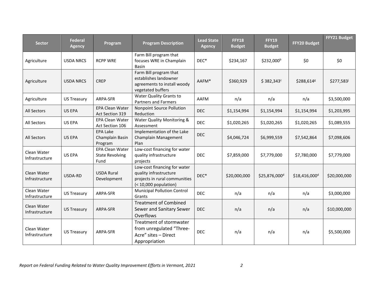| <b>Sector</b>                 | <b>Federal</b><br><b>Agency</b> | Program                                                  | <b>Program Description</b>                                                                                       | <b>Lead State</b><br><b>Agency</b> | <b>FFY18</b><br><b>Budget</b> | <b>FFY19</b><br><b>Budget</b> | FFY20 Budget              | FFY21 Budget |
|-------------------------------|---------------------------------|----------------------------------------------------------|------------------------------------------------------------------------------------------------------------------|------------------------------------|-------------------------------|-------------------------------|---------------------------|--------------|
| Agriculture                   | <b>USDA NRCS</b>                | <b>RCPP WRE</b>                                          | Farm Bill program that<br>focuses WRE in Champlain<br><b>Basin</b>                                               | DEC*                               | \$234,167                     | \$232,000 <sup>b</sup>        | \$0                       | \$0          |
| Agriculture                   | <b>USDA NRCS</b>                | <b>CREP</b>                                              | Farm Bill program that<br>establishes landowner<br>agreements to install woody<br>vegetated buffers              | AAFM*                              | \$360,929                     | $$382,343^c$                  | \$288,614 <sup>g</sup>    | \$277,583    |
| Agriculture                   | <b>US Treasury</b>              | ARPA-SFR                                                 | Water Quality Grants to<br><b>Partners and Farmers</b>                                                           | AAFM                               | n/a                           | n/a                           | n/a                       | \$3,500,000  |
| All Sectors                   | US EPA                          | <b>EPA Clean Water</b><br>Act Section 319                | Nonpoint Source Pollution<br>Reduction                                                                           | <b>DEC</b>                         | \$1,154,994                   | \$1,154,994                   | \$1,154,994               | \$1,203,995  |
| All Sectors                   | <b>US EPA</b>                   | <b>EPA Clean Water</b><br>Act Section 106                | Water Quality Monitoring &<br>Assessment                                                                         | <b>DEC</b>                         | \$1,020,265                   | \$1,020,265                   | \$1,020,265               | \$1,089,555  |
| <b>All Sectors</b>            | US EPA                          | <b>EPA Lake</b><br>Champlain Basin<br>Program            | Implementation of the Lake<br>Champlain Management<br>Plan                                                       | <b>DEC</b>                         | \$4,046,724                   | \$6,999,559                   | \$7,542,864               | \$7,098,606  |
| Clean Water<br>Infrastructure | <b>US EPA</b>                   | <b>EPA Clean Water</b><br><b>State Revolving</b><br>Fund | Low-cost financing for water<br>quality infrastructure<br>projects                                               | <b>DEC</b>                         | \$7,859,000                   | \$7,779,000                   | \$7,780,000               | \$7,779,000  |
| Clean Water<br>Infrastructure | USDA-RD                         | <b>USDA Rural</b><br>Development                         | Low-cost financing for water<br>quality infrastructure<br>projects in rural communities<br>$(10,000 population)$ | $DEC^*$                            | \$20,000,000                  | \$25,876,000 <sup>d</sup>     | \$18,416,000 <sup>d</sup> | \$20,000,000 |
| Clean Water<br>Infrastructure | <b>US Treasury</b>              | ARPA-SFR                                                 | <b>Municipal Pollution Control</b><br>Grants                                                                     | <b>DEC</b>                         | n/a                           | n/a                           | n/a                       | \$3,000,000  |
| Clean Water<br>Infrastructure | <b>US Treasury</b>              | ARPA-SFR                                                 | <b>Treatment of Combined</b><br>Sewer and Sanitary Sewer<br>Overflows                                            | <b>DEC</b>                         | n/a                           | n/a                           | n/a                       | \$10,000,000 |
| Clean Water<br>Infrastructure | <b>US Treasury</b>              | ARPA-SFR                                                 | Treatment of stormwater<br>from unregulated "Three-<br>Acre" sites - Direct<br>Appropriation                     | <b>DEC</b>                         | n/a                           | n/a                           | n/a                       | \$5,500,000  |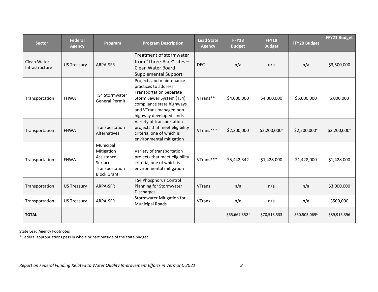| <b>Sector</b>                 | <b>Federal</b><br><b>Agency</b> | Program                                                                                    | <b>Program Description</b>                                                                                                                                                                        | <b>Lead State</b><br><b>Agency</b> | <b>FFY18</b><br><b>Budget</b> | <b>FFY19</b><br><b>Budget</b> | FFY20 Budget             | FFY21 Budget             |
|-------------------------------|---------------------------------|--------------------------------------------------------------------------------------------|---------------------------------------------------------------------------------------------------------------------------------------------------------------------------------------------------|------------------------------------|-------------------------------|-------------------------------|--------------------------|--------------------------|
| Clean Water<br>Infrastructure | <b>US Treasury</b>              | ARPA-SFR                                                                                   | Treatment of stormwater<br>from "Three-Acre" sites -<br>Clean Water Board<br><b>Supplemental Support</b>                                                                                          | <b>DEC</b>                         | n/a                           | n/a                           | n/a                      | \$3,500,000              |
| Transportation                | <b>FHWA</b>                     | <b>TS4 Stormwater</b><br><b>General Permit</b>                                             | Projects and maintenance<br>practices to address<br><b>Transportation Separate</b><br>Storm Sewer System (TS4)<br>compliance state highways<br>and VTrans managed non-<br>highway developed lands | VTrans**                           | \$4,000,000                   | \$4,000,000                   | \$5,000,000              | 5,000,000                |
| Transportation                | <b>FHWA</b>                     | Transportation<br>Alternatives                                                             | Variety of transportation<br>projects that meet eligibility<br>criteria, one of which is<br>environmental mitigation                                                                              | VTrans***                          | \$2,200,000                   | \$2,200,000 <sup>e</sup>      | \$2,200,000 <sup>e</sup> | \$2,200,000 <sup>e</sup> |
| Transportation                | <b>FHWA</b>                     | Municipal<br>Mitigation<br>Assistance -<br>Surface<br>Transportation<br><b>Block Grant</b> | Variety of transportation<br>projects that meet eligibility<br>criteria, one of which is<br>environmental mitigation                                                                              | VTrans***                          | \$5,442,342                   | \$1,428,000                   | \$1,428,000              | \$1,428,000              |
| Transportation                | <b>US Treasury</b>              | ARPA-SFR                                                                                   | TS4 Phosphorus Control<br>Planning for Stormwater<br><b>Discharges</b>                                                                                                                            | <b>VTrans</b>                      | n/a                           | n/a                           | n/a                      | \$3,000,000              |
| Transportation                | <b>US Treasury</b>              | ARPA-SFR                                                                                   | <b>Stormwater Mitigation for</b><br><b>Municipal Roads</b>                                                                                                                                        | <b>VTrans</b>                      | n/a                           | n/a                           | n/a                      | \$500,000                |
| <b>TOTAL</b>                  |                                 |                                                                                            |                                                                                                                                                                                                   |                                    | \$65,667,352f                 | \$70,518,533                  | \$60,503,069h            | \$89,913,396             |

State Lead Agency Footnotes

\* Federal appropriations pass in whole or part outside of the state budget